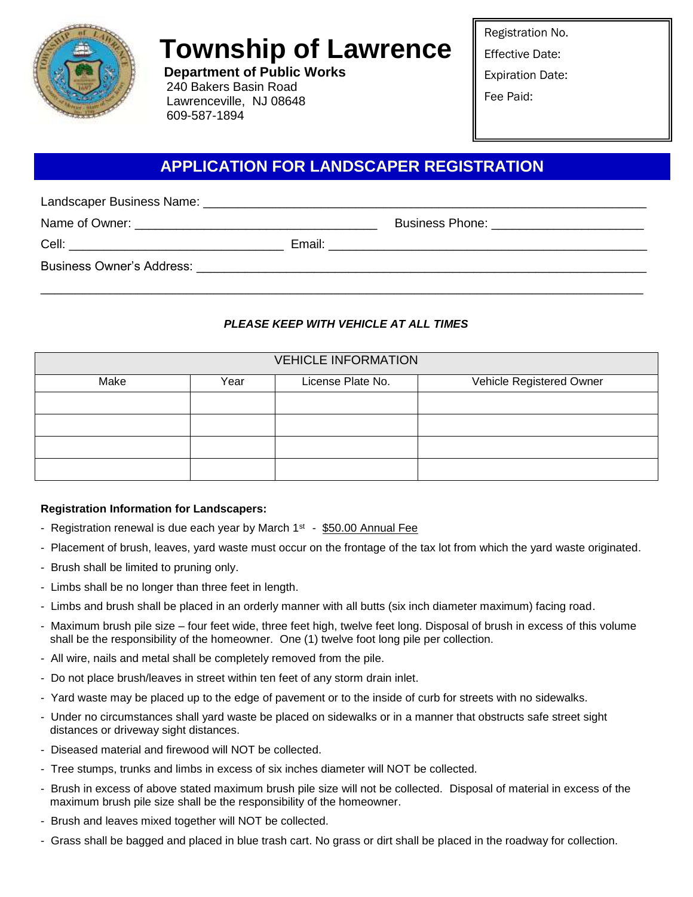

# **Township of Lawrence**

**Department of Public Works** 240 Bakers Basin Road Lawrenceville, NJ 08648 609-587-1894

Registration No.

Effective Date:

Expiration Date:

Fee Paid:

## **APPLICATION FOR LANDSCAPER REGISTRATION**

Landscaper Business Name: \_\_\_\_\_\_\_\_\_\_\_\_\_\_\_\_\_\_\_\_\_\_\_\_\_\_\_\_\_\_\_\_\_\_\_\_\_\_\_\_\_\_\_\_\_\_\_\_\_\_\_\_\_\_\_\_\_\_\_\_\_\_\_\_

Name of Owner: \_\_\_\_\_\_\_\_\_\_\_\_\_\_\_\_\_\_\_\_\_\_\_\_\_\_\_\_\_\_\_\_\_\_\_ Business Phone: \_\_\_\_\_\_\_\_\_\_\_\_\_\_\_\_\_\_\_\_\_\_

Cell: **Cell: Email:**  $\blacksquare$ 

Business Owner's Address: \_\_\_\_\_\_\_\_\_\_\_\_\_\_\_\_\_\_\_\_\_\_\_\_\_\_\_\_\_\_\_\_\_\_\_\_\_\_\_\_\_\_\_\_\_\_\_\_\_\_\_\_\_\_\_\_\_\_\_\_\_\_\_\_\_

## *PLEASE KEEP WITH VEHICLE AT ALL TIMES*

\_\_\_\_\_\_\_\_\_\_\_\_\_\_\_\_\_\_\_\_\_\_\_\_\_\_\_\_\_\_\_\_\_\_\_\_\_\_\_\_\_\_\_\_\_\_\_\_\_\_\_\_\_\_\_\_\_\_\_\_\_\_\_\_\_\_\_\_\_\_\_\_\_\_\_\_\_\_\_\_\_\_\_\_\_\_\_

| <b>VEHICLE INFORMATION</b> |      |                   |                          |
|----------------------------|------|-------------------|--------------------------|
| Make                       | Year | License Plate No. | Vehicle Registered Owner |
|                            |      |                   |                          |
|                            |      |                   |                          |
|                            |      |                   |                          |
|                            |      |                   |                          |

### **Registration Information for Landscapers:**

- Registration renewal is due each year by March  $1<sup>st</sup>$  \$50.00 Annual Fee
- Placement of brush, leaves, yard waste must occur on the frontage of the tax lot from which the yard waste originated.
- Brush shall be limited to pruning only.
- Limbs shall be no longer than three feet in length.
- Limbs and brush shall be placed in an orderly manner with all butts (six inch diameter maximum) facing road.
- Maximum brush pile size four feet wide, three feet high, twelve feet long. Disposal of brush in excess of this volume shall be the responsibility of the homeowner. One (1) twelve foot long pile per collection.
- All wire, nails and metal shall be completely removed from the pile.
- Do not place brush/leaves in street within ten feet of any storm drain inlet.
- Yard waste may be placed up to the edge of pavement or to the inside of curb for streets with no sidewalks.
- Under no circumstances shall yard waste be placed on sidewalks or in a manner that obstructs safe street sight distances or driveway sight distances.
- Diseased material and firewood will NOT be collected.
- Tree stumps, trunks and limbs in excess of six inches diameter will NOT be collected.
- Brush in excess of above stated maximum brush pile size will not be collected. Disposal of material in excess of the maximum brush pile size shall be the responsibility of the homeowner.
- Brush and leaves mixed together will NOT be collected.
- Grass shall be bagged and placed in blue trash cart. No grass or dirt shall be placed in the roadway for collection.